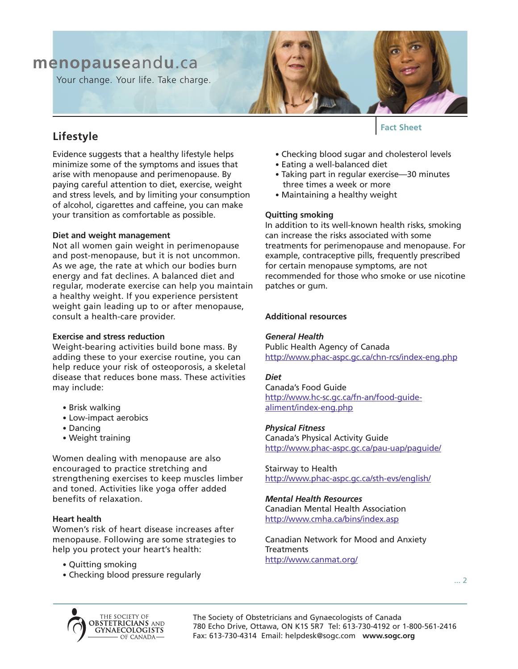# **menopause**and**u**.ca

Your change. Your life. Take charge.



# **Lifestyle**

Evidence suggests that a healthy lifestyle helps minimize some of the symptoms and issues that arise with menopause and perimenopause. By paying careful attention to diet, exercise, weight and stress levels, and by limiting your consumption of alcohol, cigarettes and caffeine, you can make your transition as comfortable as possible.

# **Diet and weight management**

Not all women gain weight in perimenopause and post-menopause, but it is not uncommon. As we age, the rate at which our bodies burn energy and fat declines. A balanced diet and regular, moderate exercise can help you maintain a healthy weight. If you experience persistent weight gain leading up to or after menopause, consult a health-care provider.

## **Exercise and stress reduction**

Weight-bearing activities build bone mass. By adding these to your exercise routine, you can help reduce your risk of osteoporosis, a skeletal disease that reduces bone mass. These activities may include:

- Brisk walking
- Low-impact aerobics
- Dancing
- Weight training

Women dealing with menopause are also encouraged to practice stretching and strengthening exercises to keep muscles limber and toned. Activities like yoga offer added benefits of relaxation.

## **Heart health**

Women's risk of heart disease increases after menopause. Following are some strategies to help you protect your heart's health:

- Quitting smoking
- Checking blood pressure regularly
- **Fact Sheet**
- Checking blood sugar and cholesterol levels
- Eating a well-balanced diet
- Taking part in regular exercise—30 minutes three times a week or more
- Maintaining a healthy weight

# **Quitting smoking**

In addition to its well-known health risks, smoking can increase the risks associated with some treatments for perimenopause and menopause. For example, contraceptive pills, frequently prescribed for certain menopause symptoms, are not recommended for those who smoke or use nicotine patches or gum.

# **Additional resources**

# *General Health*

Public Health Agency of Canada http://www.phac-aspc.gc.ca/chn-rcs/index-eng.php

## *Diet*

Canada's Food Guide http://www.hc-sc.gc.ca/fn-an/food-guidealiment/index-eng.php

## *Physical Fitness*

Canada's Physical Activity Guide http://www.phac-aspc.gc.ca/pau-uap/paguide/

Stairway to Health http://www.phac-aspc.gc.ca/sth-evs/english/

## *Mental Health Resources*

Canadian Mental Health Association http://www.cmha.ca/bins/index.asp

Canadian Network for Mood and Anxiety **Treatments** http://www.canmat.org/